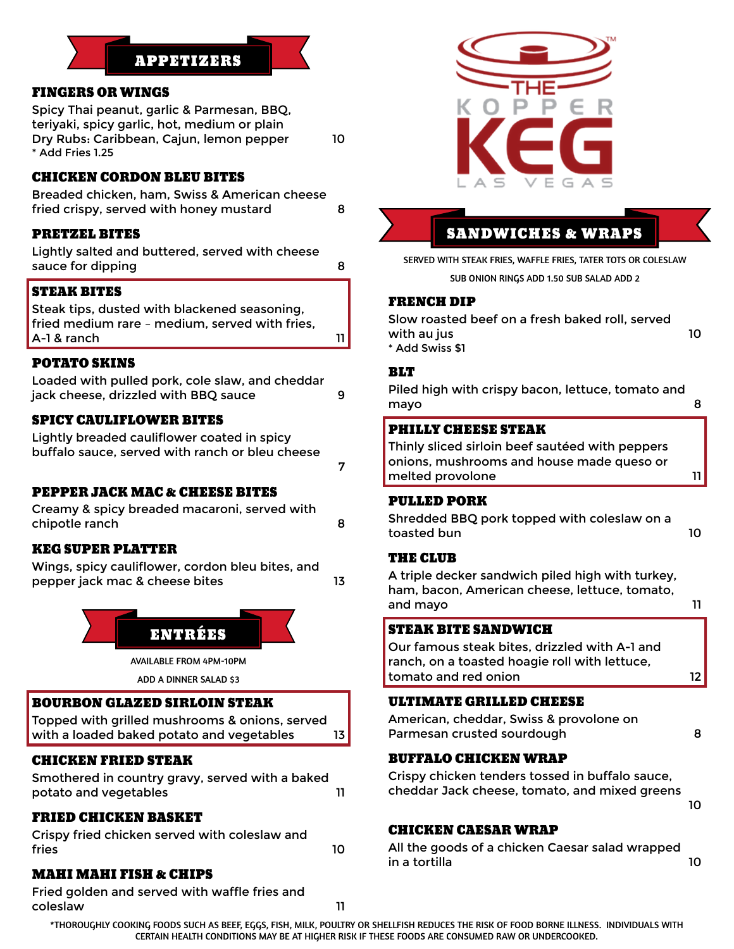# APPETIZERS

## FINGERS OR WINGS

Spicy Thai peanut, garlic & Parmesan, BBQ, teriyaki, spicy garlic, hot, medium or plain Dry Rubs: Caribbean, Cajun, lemon pepper 10 \* Add Fries 1.25

## CHICKEN CORDON BLEU BITES

Breaded chicken, ham, Swiss & American cheese fried crispy, served with honey mustard 8

## PRETZEL BITES

Lightly salted and buttered, served with cheese sauce for dipping and sauce sauce 8

## STEAK BITES

Steak tips, dusted with blackened seasoning, fried medium rare – medium, served with fries, A-1 & ranch 11

## POTATO SKINS

| Loaded with pulled pork, cole slaw, and cheddar |  |  |
|-------------------------------------------------|--|--|
| jack cheese, drizzled with BBQ sauce            |  |  |

## SPICY CAULIFLOWER BITES

Lightly breaded cauliflower coated in spicy buffalo sauce, served with ranch or bleu cheese

PEPPER JACK MAC & CHEESE BITES

Creamy & spicy breaded macaroni, served with chipotle ranch 8

## KEG SUPER PLATTER

Wings, spicy cauliflower, cordon bleu bites, and pepper jack mac & cheese bites 13



AVAILABLE FROM 4PM-10PM

ADD A DINNER SALAD \$3

#### BOURBON GLAZED SIRLOIN STEAK

Topped with grilled mushrooms & onions, served with a loaded baked potato and vegetables 13

## CHICKEN FRIED STEAK

Smothered in country gravy, served with a baked potato and vegetables and  $11$ 

## FRIED CHICKEN BASKET

Crispy fried chicken served with coleslaw and fries the contract of the contract of the contract of the contract of the contract of the contract of the contract of the contract of the contract of the contract of the contract of the contract of the contract of the cont

MAHI MAHI FISH & CHIPS

Fried golden and served with waffle fries and coleslaw 11



## SANDWICHES & WRAPS

SERVED WITH STEAK FRIES, WAFFLE FRIES, TATER TOTS OR COLESLAW

SUB ONION RINGS ADD 1.50 SUB SALAD ADD 2

#### FRENCH DIP

Slow roasted beef on a fresh baked roll, served with au jus 10 \* Add Swiss \$1

## **BLT**

7

Piled high with crispy bacon, lettuce, tomato and mayo 8

#### PHILLY CHEESE STEAK

Thinly sliced sirloin beef sautéed with peppers onions, mushrooms and house made queso or melted provolone and the state of the 11

#### PULLED PORK

Shredded BBQ pork topped with coleslaw on a toasted bun 10

#### THE CLUB

A triple decker sandwich piled high with turkey, ham, bacon, American cheese, lettuce, tomato, and mayo **11** 

## STEAK BITE SANDWICH

Our famous steak bites, drizzled with A-1 and ranch, on a toasted hoagie roll with lettuce, tomato and red onion 12

#### ULTIMATE GRILLED CHEESE

American, cheddar, Swiss & provolone on Parmesan crusted sourdough and the state of 8

## BUFFALO CHICKEN WRAP

Crispy chicken tenders tossed in buffalo sauce, cheddar Jack cheese, tomato, and mixed greens

## 10

## CHICKEN CAESAR WRAP

All the goods of a chicken Caesar salad wrapped in a tortilla 10

\*THOROUGHLY COOKING FOODS SUCH AS BEEF, EGGS, FISH, MILK, POULTRY OR SHELLFISH REDUCES THE RISK OF FOOD BORNE ILLNESS. INDIVIDUALS WITH CERTAIN HEALTH CONDITIONS MAY BE AT HIGHER RISK IF THESE FOODS ARE CONSUMED RAW OR UNDERCOOKED.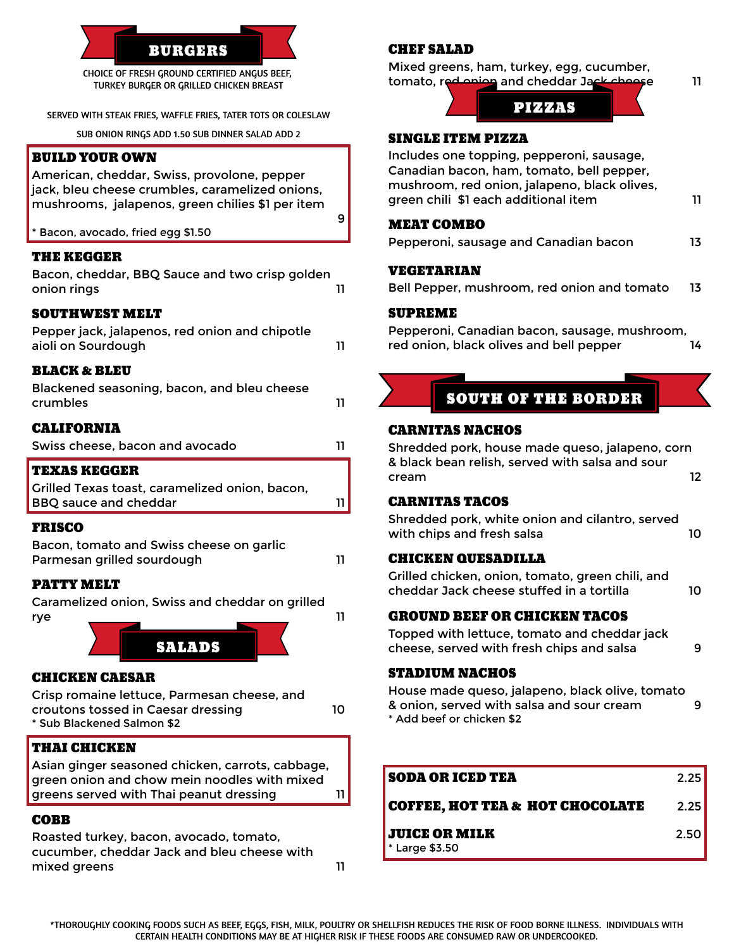

TURKEY BURGER OR GRILLED CHICKEN BREAST

SERVED WITH STEAK FRIES, WAFFLE FRIES, TATER TOTS OR COLESLAW

SUB ONION RINGS ADD 1.50 SUB DINNER SALAD ADD 2

## BUILD YOUR OWN

American, cheddar, Swiss, provolone, pepper jack, bleu cheese crumbles, caramelized onions, mushrooms, jalapenos, green chilies \$1 per item

Bacon, avocado, fried egg \$1.50

#### THE KEGGER

| Bacon, cheddar, BBQ Sauce and two crisp golden<br>onion rings |  |
|---------------------------------------------------------------|--|
| <b>SOUTHWEST MELT</b>                                         |  |

| Pepper jack, jalapenos, red onion and chipotle |  |
|------------------------------------------------|--|
| aioli on Sourdough                             |  |
|                                                |  |

#### BLACK & BLEU

| <b>TEXAS KEGGER</b>                                     |    |
|---------------------------------------------------------|----|
| <b>CALIFORNIA</b><br>Swiss cheese, bacon and avocado    | 11 |
| Blackened seasoning, bacon, and bleu cheese<br>crumbles | 11 |

| Grilled Texas toast, caramelized onion, bacon, |  |
|------------------------------------------------|--|
| BBQ sauce and cheddar                          |  |
|                                                |  |

#### FRISCO

| Bacon, tomato and Swiss cheese on garlic |  |
|------------------------------------------|--|
| Parmesan grilled sourdough               |  |

#### PATTY MELT

Caramelized onion, Swiss and cheddar on grilled rye \_\_\_\_\_\_\_\_\_\_\_ \_\_\_\_\_\_\_\_\_ 11



## CHICKEN CAESAR

Crisp romaine lettuce, Parmesan cheese, and croutons tossed in Caesar dressing 10 \* Sub Blackened Salmon \$2

#### THAI CHICKEN

Asian ginger seasoned chicken, carrots, cabbage, green onion and chow mein noodles with mixed greens served with Thai peanut dressing 11

## COBB

Roasted turkey, bacon, avocado, tomato, cucumber, cheddar Jack and bleu cheese with mixed greens 11 CHEF SALAD

Mixed greens, ham, turkey, egg, cucumber, tomato, red onion and cheddar Jack cheese 11



## SINGLE ITEM PIZZA

Includes one topping, pepperoni, sausage, Canadian bacon, ham, tomato, bell pepper, mushroom, red onion, jalapeno, black olives, green chili \$1 each additional item 11

#### MEAT COMBO

9

| Pepperoni, sausage and Canadian bacon | 13 |
|---------------------------------------|----|
|---------------------------------------|----|

#### VEGETARIAN

|  | Bell Pepper, mushroom, red onion and tomato |  |  | 13 |
|--|---------------------------------------------|--|--|----|
|  |                                             |  |  |    |

#### SUPREME

Pepperoni, Canadian bacon, sausage, mushroom, red onion, black olives and bell pepper 14

# SOUTH OF THE BORDER

## CARNITAS NACHOS

Shredded pork, house made queso, jalapeno, corn & black bean relish, served with salsa and sour cream 12

#### CARNITAS TACOS

Shredded pork, white onion and cilantro, served with chips and fresh salsa 10

#### CHICKEN QUESADILLA

Grilled chicken, onion, tomato, green chili, and cheddar Jack cheese stuffed in a tortilla 10

#### GROUND BEEF OR CHICKEN TACOS

Topped with lettuce, tomato and cheddar jack cheese, served with fresh chips and salsa 9

#### STADIUM NACHOS

House made queso, jalapeno, black olive, tomato & onion, served with salsa and sour cream 9 \* Add beef or chicken \$2

| <b>SODA OR ICED TEA</b>                      | 2.251 |
|----------------------------------------------|-------|
| <b>COFFEE. HOT TEA &amp; HOT CHOCOLATE</b>   | 2.25  |
| <b>JUICE OR MILK</b><br>$\cdot$ Large \$3.50 | 2.50  |

\*THOROUGHLY COOKING FOODS SUCH AS BEEF, EGGS, FISH, MILK, POULTRY OR SHELLFISH REDUCES THE RISK OF FOOD BORNE ILLNESS. INDIVIDUALS WITH CERTAIN HEALTH CONDITIONS MAY BE AT HIGHER RISK IF THESE FOODS ARE CONSUMED RAW OR UNDERCOOKED.